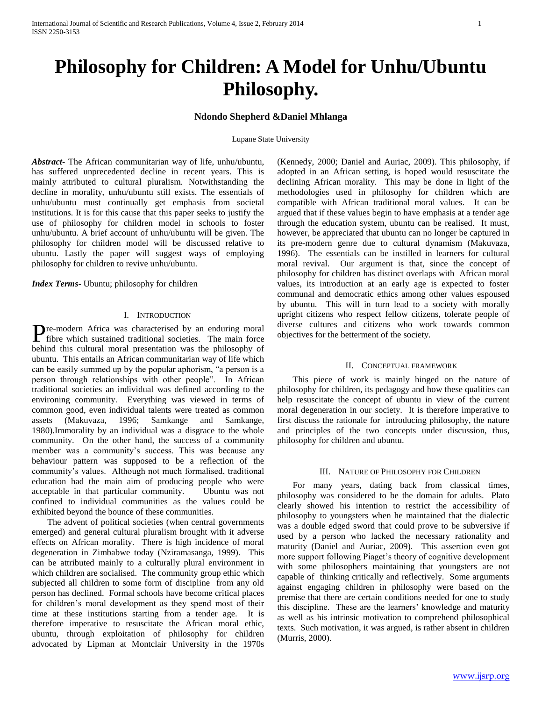# **Philosophy for Children: A Model for Unhu/Ubuntu Philosophy.**

## **Ndondo Shepherd &Daniel Mhlanga**

Lupane State University

*Abstract***-** The African communitarian way of life, unhu/ubuntu, has suffered unprecedented decline in recent years. This is mainly attributed to cultural pluralism. Notwithstanding the decline in morality, unhu/ubuntu still exists. The essentials of unhu/ubuntu must continually get emphasis from societal institutions. It is for this cause that this paper seeks to justify the use of philosophy for children model in schools to foster unhu/ubuntu. A brief account of unhu/ubuntu will be given. The philosophy for children model will be discussed relative to ubuntu. Lastly the paper will suggest ways of employing philosophy for children to revive unhu/ubuntu.

*Index Terms*- Ubuntu; philosophy for children

### I. INTRODUCTION

re-modern Africa was characterised by an enduring moral **Figure 1** Fibre which sustained traditional societies. The main force behind this cultural moral presentation was the philosophy of ubuntu. This entails an African communitarian way of life which can be easily summed up by the popular aphorism, "a person is a person through relationships with other people". In African traditional societies an individual was defined according to the environing community. Everything was viewed in terms of common good, even individual talents were treated as common assets (Makuvaza, 1996; Samkange and Samkange, 1980).Immorality by an individual was a disgrace to the whole community. On the other hand, the success of a community member was a community's success. This was because any behaviour pattern was supposed to be a reflection of the community's values. Although not much formalised, traditional education had the main aim of producing people who were acceptable in that particular community. Ubuntu was not confined to individual communities as the values could be exhibited beyond the bounce of these communities.

 The advent of political societies (when central governments emerged) and general cultural pluralism brought with it adverse effects on African morality. There is high incidence of moral degeneration in Zimbabwe today (Nziramasanga, 1999). This can be attributed mainly to a culturally plural environment in which children are socialised. The community group ethic which subjected all children to some form of discipline from any old person has declined. Formal schools have become critical places for children's moral development as they spend most of their time at these institutions starting from a tender age. It is therefore imperative to resuscitate the African moral ethic, ubuntu, through exploitation of philosophy for children advocated by Lipman at Montclair University in the 1970s

(Kennedy, 2000; Daniel and Auriac, 2009). This philosophy, if adopted in an African setting, is hoped would resuscitate the declining African morality. This may be done in light of the methodologies used in philosophy for children which are compatible with African traditional moral values. It can be argued that if these values begin to have emphasis at a tender age through the education system, ubuntu can be realised. It must, however, be appreciated that ubuntu can no longer be captured in its pre-modern genre due to cultural dynamism (Makuvaza, 1996). The essentials can be instilled in learners for cultural moral revival. Our argument is that, since the concept of philosophy for children has distinct overlaps with African moral values, its introduction at an early age is expected to foster communal and democratic ethics among other values espoused by ubuntu. This will in turn lead to a society with morally upright citizens who respect fellow citizens, tolerate people of diverse cultures and citizens who work towards common objectives for the betterment of the society.

## II. CONCEPTUAL FRAMEWORK

 This piece of work is mainly hinged on the nature of philosophy for children, its pedagogy and how these qualities can help resuscitate the concept of ubuntu in view of the current moral degeneration in our society. It is therefore imperative to first discuss the rationale for introducing philosophy, the nature and principles of the two concepts under discussion, thus, philosophy for children and ubuntu.

#### III. NATURE OF PHILOSOPHY FOR CHILDREN

 For many years, dating back from classical times, philosophy was considered to be the domain for adults. Plato clearly showed his intention to restrict the accessibility of philosophy to youngsters when he maintained that the dialectic was a double edged sword that could prove to be subversive if used by a person who lacked the necessary rationality and maturity (Daniel and Auriac, 2009). This assertion even got more support following Piaget's theory of cognitive development with some philosophers maintaining that youngsters are not capable of thinking critically and reflectively. Some arguments against engaging children in philosophy were based on the premise that there are certain conditions needed for one to study this discipline. These are the learners' knowledge and maturity as well as his intrinsic motivation to comprehend philosophical texts. Such motivation, it was argued, is rather absent in children (Murris, 2000).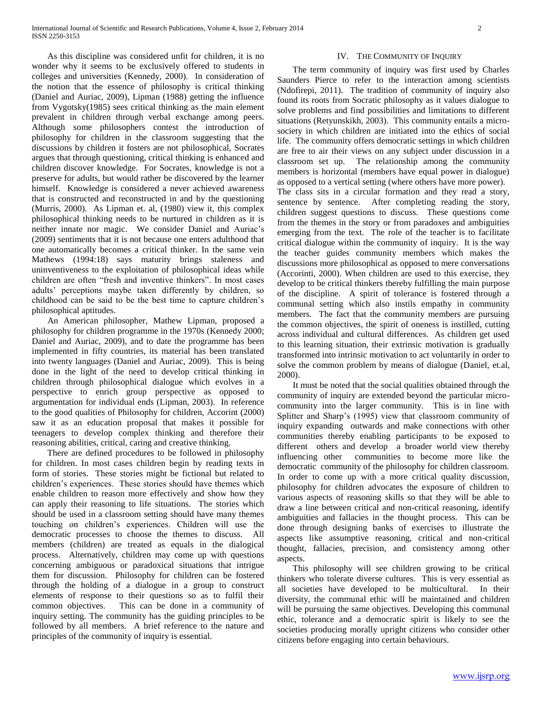As this discipline was considered unfit for children, it is no wonder why it seems to be exclusively offered to students in colleges and universities (Kennedy, 2000). In consideration of the notion that the essence of philosophy is critical thinking (Daniel and Auriac, 2009), Lipman (1988) getting the influence from Vygotsky(1985) sees critical thinking as the main element prevalent in children through verbal exchange among peers. Although some philosophers contest the introduction of philosophy for children in the classroom suggesting that the discussions by children it fosters are not philosophical, Socrates argues that through questioning, critical thinking is enhanced and children discover knowledge. For Socrates, knowledge is not a preserve for adults, but would rather be discovered by the learner himself. Knowledge is considered a never achieved awareness that is constructed and reconstructed in and by the questioning (Murris, 2000). As Lipman et. al, (1980) view it, this complex philosophical thinking needs to be nurtured in children as it is neither innate nor magic. We consider Daniel and Auriac's (2009) sentiments that it is not because one enters adulthood that one automatically becomes a critical thinker. In the same vein Mathews (1994:18) says maturity brings staleness and uninventiveness to the exploitation of philosophical ideas while children are often "fresh and inventive thinkers". In most cases adults' perceptions maybe taken differently by children, so childhood can be said to be the best time to capture children's philosophical aptitudes.

 An American philosopher, Mathew Lipman, proposed a philosophy for children programme in the 1970s (Kennedy 2000; Daniel and Auriac, 2009), and to date the programme has been implemented in fifty countries, its material has been translated into twenty languages (Daniel and Auriac, 2009). This is being done in the light of the need to develop critical thinking in children through philosophical dialogue which evolves in a perspective to enrich group perspective as opposed to argumentation for individual ends (Lipman, 2003). In reference to the good qualities of Philosophy for children, Accorint (2000) saw it as an education proposal that makes it possible for teenagers to develop complex thinking and therefore their reasoning abilities, critical, caring and creative thinking.

 There are defined procedures to be followed in philosophy for children. In most cases children begin by reading texts in form of stories. These stories might be fictional but related to children's experiences. These stories should have themes which enable children to reason more effectively and show how they can apply their reasoning to life situations. The stories which should be used in a classroom setting should have many themes touching on children's experiences. Children will use the democratic processes to choose the themes to discuss. All members (children) are treated as equals in the dialogical process. Alternatively, children may come up with questions concerning ambiguous or paradoxical situations that intrigue them for discussion. Philosophy for children can be fostered through the holding of a dialogue in a group to construct elements of response to their questions so as to fulfil their common objectives. This can be done in a community of inquiry setting. The community has the guiding principles to be followed by all members. A brief reference to the nature and principles of the community of inquiry is essential.

## IV. THE COMMUNITY OF INQUIRY

 The term community of inquiry was first used by Charles Saunders Pierce to refer to the interaction among scientists (Ndofirepi, 2011). The tradition of community of inquiry also found its roots from Socratic philosophy as it values dialogue to solve problems and find possibilities and limitations to different situations (Retyunskikh, 2003). This community entails a microsociety in which children are initiated into the ethics of social life. The community offers democratic settings in which children are free to air their views on any subject under discussion in a classroom set up. The relationship among the community members is horizontal (members have equal power in dialogue) as opposed to a vertical setting (where others have more power). The class sits in a circular formation and they read a story, sentence by sentence. After completing reading the story, children suggest questions to discuss. These questions come from the themes in the story or from paradoxes and ambiguities emerging from the text. The role of the teacher is to facilitate critical dialogue within the community of inquiry. It is the way the teacher guides community members which makes the discussions more philosophical as opposed to mere conversations (Accorinti, 2000). When children are used to this exercise, they develop to be critical thinkers thereby fulfilling the main purpose of the discipline. A spirit of tolerance is fostered through a communal setting which also instils empathy in community members. The fact that the community members are pursuing the common objectives, the spirit of oneness is instilled, cutting across individual and cultural differences. As children get used to this learning situation, their extrinsic motivation is gradually transformed into intrinsic motivation to act voluntarily in order to solve the common problem by means of dialogue (Daniel, et.al, 2000).

 It must be noted that the social qualities obtained through the community of inquiry are extended beyond the particular microcommunity into the larger community. This is in line with Splitter and Sharp's (1995) view that classroom community of inquiry expanding outwards and make connections with other communities thereby enabling participants to be exposed to different others and develop a broader world view thereby influencing other communities to become more like the democratic community of the philosophy for children classroom. In order to come up with a more critical quality discussion, philosophy for children advocates the exposure of children to various aspects of reasoning skills so that they will be able to draw a line between critical and non-critical reasoning, identify ambiguities and fallacies in the thought process. This can be done through designing banks of exercises to illustrate the aspects like assumptive reasoning, critical and non-critical thought, fallacies, precision, and consistency among other aspects.

 This philosophy will see children growing to be critical thinkers who tolerate diverse cultures. This is very essential as all societies have developed to be multicultural. In their diversity, the communal ethic will be maintained and children will be pursuing the same objectives. Developing this communal ethic, tolerance and a democratic spirit is likely to see the societies producing morally upright citizens who consider other citizens before engaging into certain behaviours.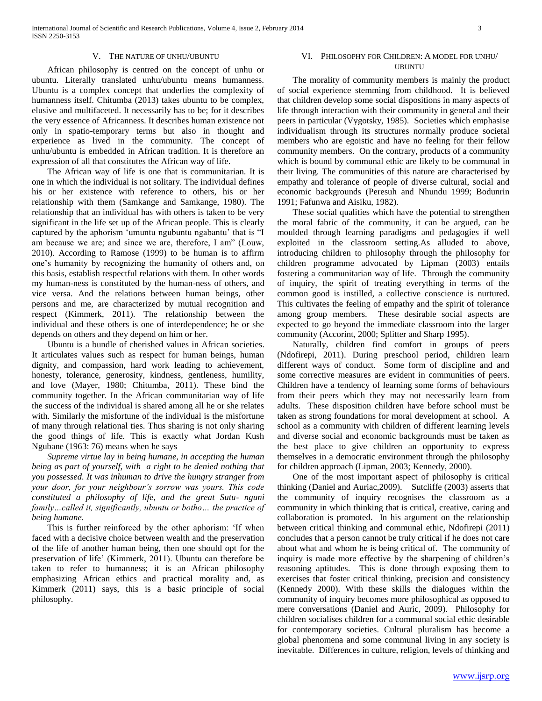#### V. THE NATURE OF UNHU/UBUNTU

 African philosophy is centred on the concept of unhu or ubuntu. Literally translated unhu/ubuntu means humanness. Ubuntu is a complex concept that underlies the complexity of humanness itself. Chitumba (2013) takes ubuntu to be complex, elusive and multifaceted. It necessarily has to be; for it describes the very essence of Africanness. It describes human existence not only in spatio-temporary terms but also in thought and experience as lived in the community. The concept of unhu/ubuntu is embedded in African tradition. It is therefore an expression of all that constitutes the African way of life.

 The African way of life is one that is communitarian. It is one in which the individual is not solitary. The individual defines his or her existence with reference to others, his or her relationship with them (Samkange and Samkange, 1980). The relationship that an individual has with others is taken to be very significant in the life set up of the African people. This is clearly captured by the aphorism 'umuntu ngubuntu ngabantu' that is "I am because we are; and since we are, therefore, I am" (Louw, 2010). According to Ramose (1999) to be human is to affirm one's humanity by recognizing the humanity of others and, on this basis, establish respectful relations with them. In other words my human-ness is constituted by the human-ness of others, and vice versa. And the relations between human beings, other persons and me, are characterized by mutual recognition and respect (Kimmerk, 2011). The relationship between the individual and these others is one of interdependence; he or she depends on others and they depend on him or her.

 Ubuntu is a bundle of cherished values in African societies. It articulates values such as respect for human beings, human dignity, and compassion, hard work leading to achievement, honesty, tolerance, generosity, kindness, gentleness, humility, and love (Mayer, 1980; Chitumba, 2011). These bind the community together. In the African communitarian way of life the success of the individual is shared among all he or she relates with. Similarly the misfortune of the individual is the misfortune of many through relational ties. Thus sharing is not only sharing the good things of life. This is exactly what Jordan Kush Ngubane (1963: 76) means when he says

 *Supreme virtue lay in being humane, in accepting the human being as part of yourself, with a right to be denied nothing that you possessed. It was inhuman to drive the hungry stranger from your door, for your neighbour's sorrow was yours. This code constituted a philosophy of life, and the great Sutu- nguni family…called it, significantly, ubuntu or botho… the practice of being humane.*

 This is further reinforced by the other aphorism: 'If when faced with a decisive choice between wealth and the preservation of the life of another human being, then one should opt for the preservation of life' (Kimmerk, 2011). Ubuntu can therefore be taken to refer to humanness; it is an African philosophy emphasizing African ethics and practical morality and, as Kimmerk (2011) says, this is a basic principle of social philosophy.

### VI. PHILOSOPHY FOR CHILDREN: A MODEL FOR UNHU/ UBUNTU

 The morality of community members is mainly the product of social experience stemming from childhood. It is believed that children develop some social dispositions in many aspects of life through interaction with their community in general and their peers in particular (Vygotsky, 1985). Societies which emphasise individualism through its structures normally produce societal members who are egoistic and have no feeling for their fellow community members. On the contrary, products of a community which is bound by communal ethic are likely to be communal in their living. The communities of this nature are characterised by empathy and tolerance of people of diverse cultural, social and economic backgrounds (Peresuh and Nhundu 1999; Bodunrin 1991; Fafunwa and Aisiku, 1982).

 These social qualities which have the potential to strengthen the moral fabric of the community, it can be argued, can be moulded through learning paradigms and pedagogies if well exploited in the classroom setting.As alluded to above, introducing children to philosophy through the philosophy for children programme advocated by Lipman (2003) entails fostering a communitarian way of life. Through the community of inquiry, the spirit of treating everything in terms of the common good is instilled, a collective conscience is nurtured. This cultivates the feeling of empathy and the spirit of tolerance among group members. These desirable social aspects are expected to go beyond the immediate classroom into the larger community (Accorint, 2000; Splitter and Sharp 1995).

 Naturally, children find comfort in groups of peers (Ndofirepi, 2011). During preschool period, children learn different ways of conduct. Some form of discipline and and some corrective measures are evident in communities of peers. Children have a tendency of learning some forms of behaviours from their peers which they may not necessarily learn from adults. These disposition children have before school must be taken as strong foundations for moral development at school. A school as a community with children of different learning levels and diverse social and economic backgrounds must be taken as the best place to give children an opportunity to express themselves in a democratic environment through the philosophy for children approach (Lipman, 2003; Kennedy, 2000).

 One of the most important aspect of philosophy is critical thinking (Daniel and Auriac,2009). Sutcliffe (2003) asserts that the community of inquiry recognises the classroom as a community in which thinking that is critical, creative, caring and collaboration is promoted. In his argument on the relationship between critical thinking and communal ethic, Ndofirepi (2011) concludes that a person cannot be truly critical if he does not care about what and whom he is being critical of. The community of inquiry is made more effective by the sharpening of children's reasoning aptitudes. This is done through exposing them to exercises that foster critical thinking, precision and consistency (Kennedy 2000). With these skills the dialogues within the community of inquiry becomes more philosophical as opposed to mere conversations (Daniel and Auric, 2009). Philosophy for children socialises children for a communal social ethic desirable for contemporary societies. Cultural pluralism has become a global phenomena and some communal living in any society is inevitable. Differences in culture, religion, levels of thinking and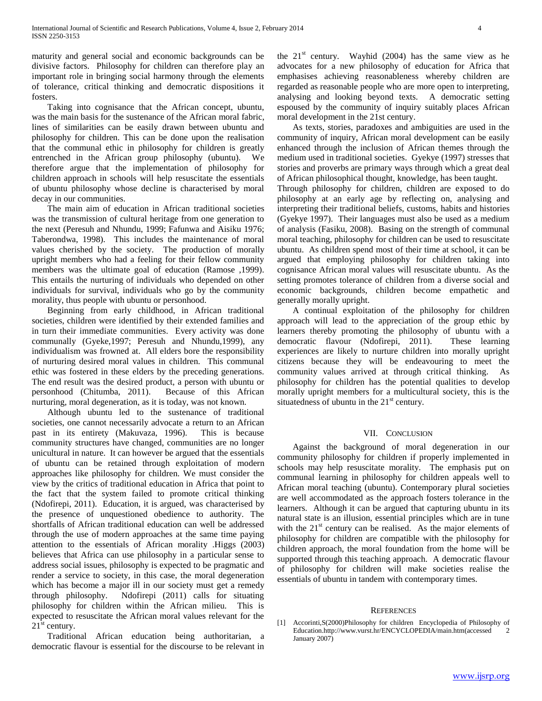maturity and general social and economic backgrounds can be divisive factors. Philosophy for children can therefore play an important role in bringing social harmony through the elements of tolerance, critical thinking and democratic dispositions it fosters.

 Taking into cognisance that the African concept, ubuntu, was the main basis for the sustenance of the African moral fabric, lines of similarities can be easily drawn between ubuntu and philosophy for children. This can be done upon the realisation that the communal ethic in philosophy for children is greatly entrenched in the African group philosophy (ubuntu). We therefore argue that the implementation of philosophy for children approach in schools will help resuscitate the essentials of ubuntu philosophy whose decline is characterised by moral decay in our communities.

 The main aim of education in African traditional societies was the transmission of cultural heritage from one generation to the next (Peresuh and Nhundu, 1999; Fafunwa and Aisiku 1976; Taberondwa, 1998). This includes the maintenance of moral values cherished by the society. The production of morally upright members who had a feeling for their fellow community members was the ultimate goal of education (Ramose ,1999). This entails the nurturing of individuals who depended on other individuals for survival, individuals who go by the community morality, thus people with ubuntu or personhood.

 Beginning from early childhood, in African traditional societies, children were identified by their extended families and in turn their immediate communities. Every activity was done communally (Gyeke,1997; Peresuh and Nhundu,1999), any individualism was frowned at. All elders bore the responsibility of nurturing desired moral values in children. This communal ethic was fostered in these elders by the preceding generations. The end result was the desired product, a person with ubuntu or personhood (Chitumba, 2011). Because of this African nurturing, moral degeneration, as it is today, was not known.

 Although ubuntu led to the sustenance of traditional societies, one cannot necessarily advocate a return to an African past in its entirety (Makuvaza, 1996). This is because community structures have changed, communities are no longer unicultural in nature. It can however be argued that the essentials of ubuntu can be retained through exploitation of modern approaches like philosophy for children. We must consider the view by the critics of traditional education in Africa that point to the fact that the system failed to promote critical thinking (Ndofirepi, 2011). Education, it is argued, was characterised by the presence of unquestioned obedience to authority. The shortfalls of African traditional education can well be addressed through the use of modern approaches at the same time paying attention to the essentials of African morality .Higgs (2003) believes that Africa can use philosophy in a particular sense to address social issues, philosophy is expected to be pragmatic and render a service to society, in this case, the moral degeneration which has become a major ill in our society must get a remedy through philosophy. Ndofirepi (2011) calls for situating philosophy for children within the African milieu. This is expected to resuscitate the African moral values relevant for the  $21<sup>st</sup>$  century.

 Traditional African education being authoritarian, a democratic flavour is essential for the discourse to be relevant in

the  $21<sup>st</sup>$  century. Wayhid (2004) has the same view as he advocates for a new philosophy of education for Africa that emphasises achieving reasonableness whereby children are regarded as reasonable people who are more open to interpreting, analysing and looking beyond texts. A democratic setting espoused by the community of inquiry suitably places African moral development in the 21st century.

 As texts, stories, paradoxes and ambiguities are used in the community of inquiry, African moral development can be easily enhanced through the inclusion of African themes through the medium used in traditional societies. Gyekye (1997) stresses that stories and proverbs are primary ways through which a great deal of African philosophical thought, knowledge, has been taught. Through philosophy for children, children are exposed to do philosophy at an early age by reflecting on, analysing and interpreting their traditional beliefs, customs, habits and histories (Gyekye 1997). Their languages must also be used as a medium of analysis (Fasiku, 2008). Basing on the strength of communal moral teaching, philosophy for children can be used to resuscitate ubuntu. As children spend most of their time at school, it can be argued that employing philosophy for children taking into cognisance African moral values will resuscitate ubuntu. As the setting promotes tolerance of children from a diverse social and economic backgrounds, children become empathetic and generally morally upright.

 A continual exploitation of the philosophy for children approach will lead to the appreciation of the group ethic by learners thereby promoting the philosophy of ubuntu with a democratic flavour (Ndofirepi, 2011). These learning experiences are likely to nurture children into morally upright citizens because they will be endeavouring to meet the community values arrived at through critical thinking. As philosophy for children has the potential qualities to develop morally upright members for a multicultural society, this is the situatedness of ubuntu in the  $21<sup>st</sup>$  century.

## VII. CONCLUSION

 Against the background of moral degeneration in our community philosophy for children if properly implemented in schools may help resuscitate morality. The emphasis put on communal learning in philosophy for children appeals well to African moral teaching (ubuntu). Contemporary plural societies are well accommodated as the approach fosters tolerance in the learners. Although it can be argued that capturing ubuntu in its natural state is an illusion, essential principles which are in tune with the  $21<sup>st</sup>$  century can be realised. As the major elements of philosophy for children are compatible with the philosophy for children approach, the moral foundation from the home will be supported through this teaching approach. A democratic flavour of philosophy for children will make societies realise the essentials of ubuntu in tandem with contemporary times.

#### **REFERENCES**

[1] Accorinti,S(2000)Philosophy for children Encyclopedia of Philosophy of Education.http://www.vurst.hr/ENCYCLOPEDIA/main.htm(accessed 2 January 2007)